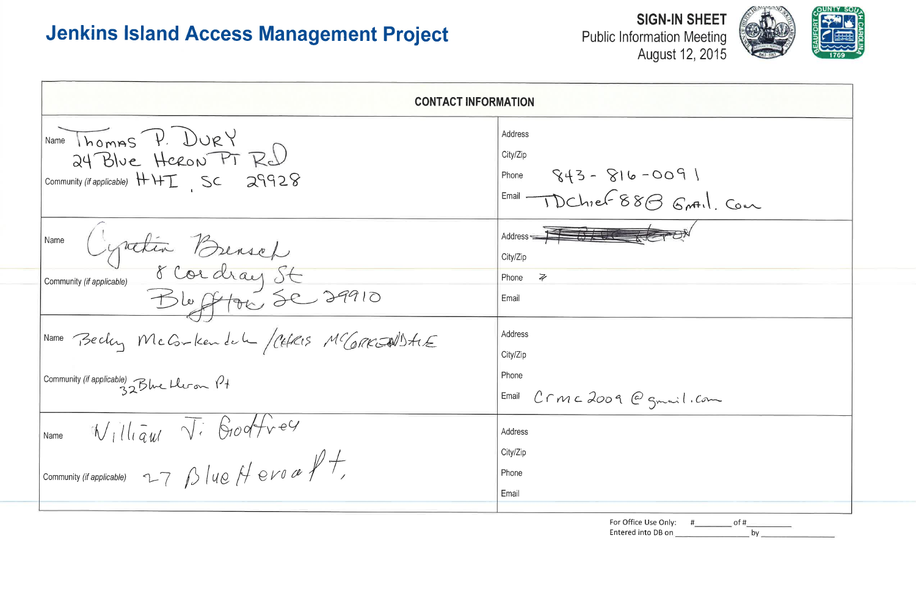| <b>CONTACT INFORMATION</b>                                                              |                                                                                                                                                      |  |  |  |  |  |
|-----------------------------------------------------------------------------------------|------------------------------------------------------------------------------------------------------------------------------------------------------|--|--|--|--|--|
| Name Thomas P. DURY<br>24 Blue Heron PT Red<br>Community (if applicable) $HHT$ SC 29928 | Address<br>City/Zip<br>$843 - 816 - 0091$<br>Phone<br>Email 1 DChief 88 B Grotil Com                                                                 |  |  |  |  |  |
|                                                                                         | Address $\begin{array}{cc} \overline{14} & \overline{6} & \overline{14} \\ \overline{14} & \overline{14} & \overline{14} \\ \end{array}$<br>City/Zip |  |  |  |  |  |
| Name Cyrichia Benset<br>Community (if applicable) 8 Cordray St                          | Phone $\overline{z}$<br>Email                                                                                                                        |  |  |  |  |  |
| Name Becky McG-Kendel /CEFRIS MCGRKJNISTIE                                              | Address<br>City/Zip                                                                                                                                  |  |  |  |  |  |
| Community (if applicable) 32Blue Lleron 14                                              | Phone<br>Email<br>Crmc2009 @gmail.com                                                                                                                |  |  |  |  |  |
| William Vi Godfrey<br>Name                                                              | Address<br>City/Zip                                                                                                                                  |  |  |  |  |  |
| Community (if applicable) $27 \beta$   40 $\beta$ 0 10 de $\beta$ +                     | Phone<br>Email                                                                                                                                       |  |  |  |  |  |
|                                                                                         | For Office Use Only: # __________ of #<br>bv                                                                                                         |  |  |  |  |  |

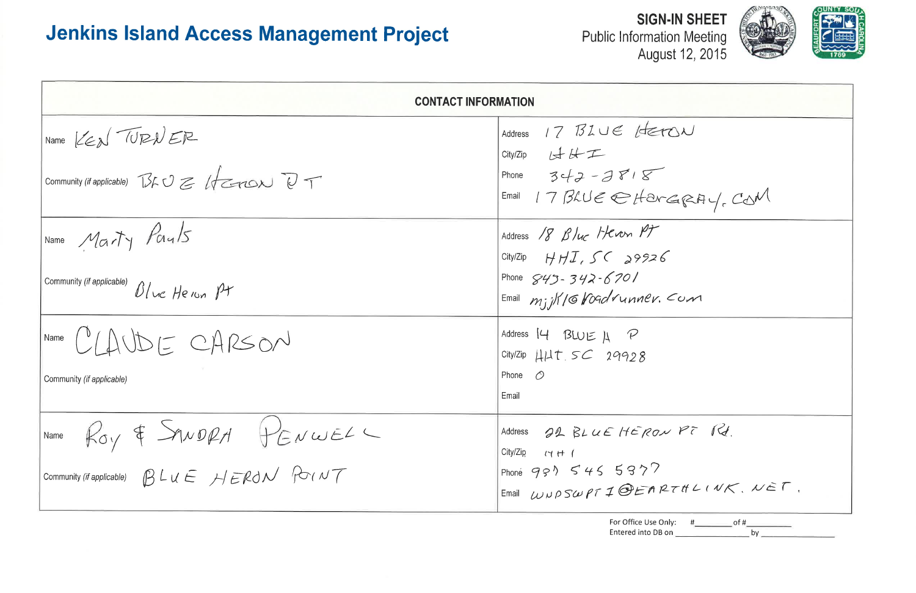| <b>CONTACT INFORMATION</b>                                                                                                                                                    |                                                                                                                                |  |  |  |  |  |
|-------------------------------------------------------------------------------------------------------------------------------------------------------------------------------|--------------------------------------------------------------------------------------------------------------------------------|--|--|--|--|--|
| Name KEN TURNER<br>Community (if applicable) $B \cup B$ (therox) $D$                                                                                                          | 17 BLUE HETC<br>Address<br>$City/Zip$ $1 + 4 + 1 = 1$<br>Phone $342 - 3818$<br>Email 17 BLUE $\ominus$ Hare                    |  |  |  |  |  |
| Name Marty Pauls<br>Community (if applicable) $D/\nu c$ He $\nu$                                                                                                              | Address 18 Blue Heven PT<br>City/Zip $H H J$ , SC 29926<br>Phone $843 - 342 - 6701$<br>$F_{\text{mail}}$ $m_j/K/GK$ oadrunner. |  |  |  |  |  |
| Name $(1)\triangle UDECDARSON$<br>Community (if applicable)                                                                                                                   | Address $14$ BLUE $\mu$ P<br>City/Zip $HUT$ $SC$ 29928<br>Phone $\bigcirc$<br>Email                                            |  |  |  |  |  |
| Name $\rho_{o}$ of SANDRA $H_{E}$ NWELL<br>Community (if applicable) $\beta$ $\bot$ $\iota \in \mathcal{H}$ $\in \mathbb{R}$ d $\mathcal{N}$ $\forall$ $\iota$ $\iota$ $\tau$ | Address 22 BLUE HERON<br>City/Zip $\iota$ + (<br>Phoné 981 545 5877<br>Email $WWPSWPTIP$                                       |  |  |  |  |  |







| JN                                    |
|---------------------------------------|
| GRV, COM                              |
|                                       |
| $=$ $\circ$                           |
|                                       |
|                                       |
| PT Rd.                                |
| THLINK, NET,                          |
| $\frac{\#$ of $\#$<br>$\iota$ :<br>by |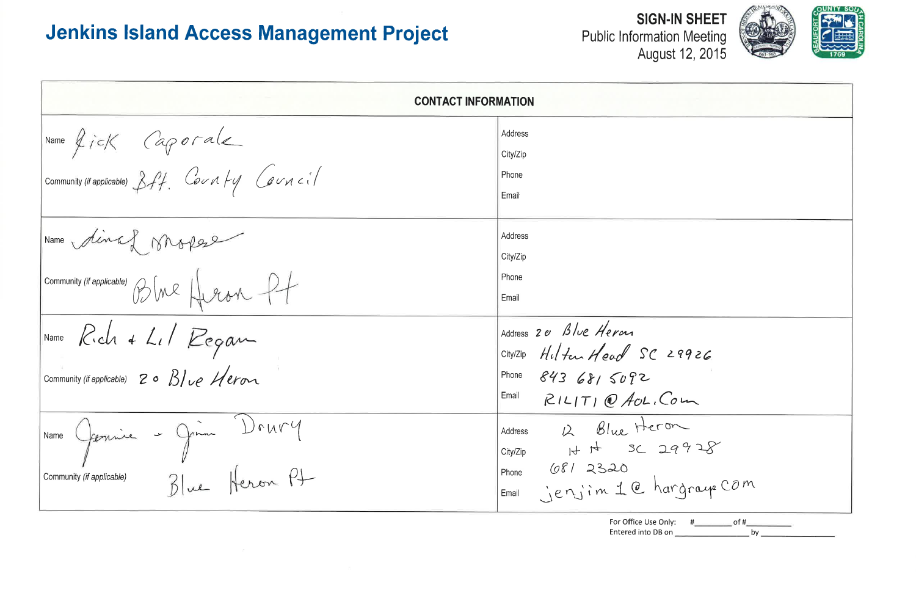$\mathcal{N}$ 

**Public Information Meeting** 

| <b>CONTACT INFORMATION</b>                                                                            |                                                                                                           |
|-------------------------------------------------------------------------------------------------------|-----------------------------------------------------------------------------------------------------------|
| Name $\oint \vec{r}$ of $\vec{r}$ (approached<br>Community (if applicable) $\beta f$ . County Council | Address<br>City/Zip<br>Phone<br>Email                                                                     |
| Name dinaf profese<br>Community (if applicable) BINR HUEAN PT                                         | Address<br>City/Zip<br>Phone<br>Email                                                                     |
| Name Rich + Lil Regam<br>Community (if applicable) 20 Blue Heron                                      | Address 20 Blue Heron<br>City/Zip Hilter Head SC 2<br>Phone 843 681 5092<br>Email<br>$RILTT)$ $Q$ AcL, Co |
| - Jim Drury<br>Name<br>forme<br>Blue Heron Pt<br>Community (if applicable)                            | $2$ Blue Hero<br>H H SC 20<br>Address<br>City/Zip<br>6812320<br>Phone<br>jenjim 1 @ har<br>Email          |







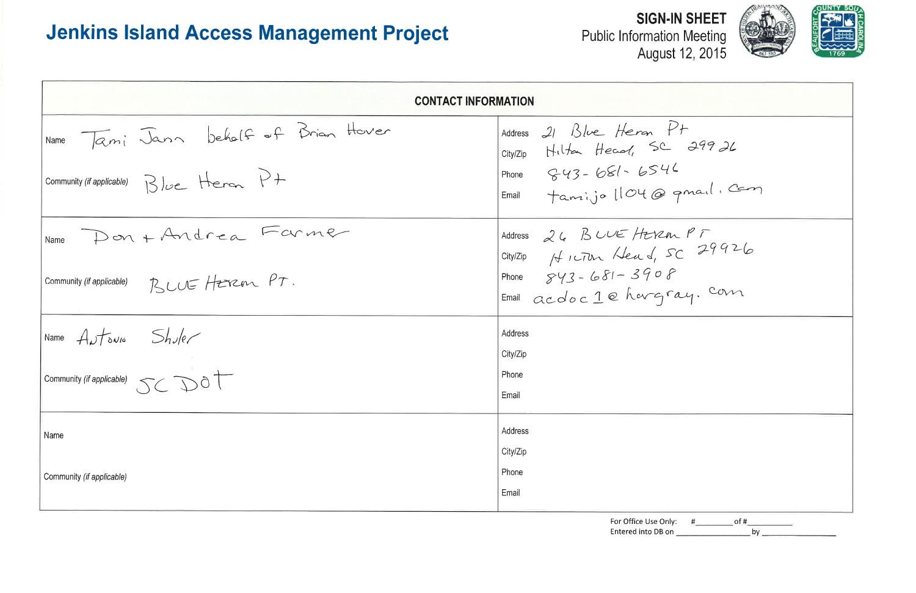Public Information Meeting<br>August 12, 2015

| <b>CONTACT INFORMATION</b>                             |                                                            |
|--------------------------------------------------------|------------------------------------------------------------|
| IName Tami Jann behalf of Brian Hover                  | Address 21 Blue Heron Pt<br>city/Zip Hilton Head, SC 29926 |
| Community (if applicable) Blue Heren P+                | Phone $843 - 681 - 6546$<br>Email Tamijo 1104 @ quail. Com |
| Name Don + Andrea Farmer                               | Address 26 BLUE HEREN PF<br>City/Zip HILTON Head, SC 29926 |
| Community (if applicable) $R$ $UU$ Hzrzen $PT$ .       | Phone $843 - 681 - 3908$<br>Email acdoc 1 @ hargray. com   |
| Name $A_{\nu}f_{\delta\nu\mu}$ $Sh_{\nu}e_{\ell}$      | Address<br>City/Zip                                        |
| Community <i>(if applicable)</i> $\text{SC} \text{D0}$ | Phone<br>Email                                             |
| Name                                                   | Address<br>City/Zip                                        |
| Community (if applicable)                              | Phone<br>Email                                             |
|                                                        | For Office Use Only:<br>of #<br>Entered into DB on<br>by   |



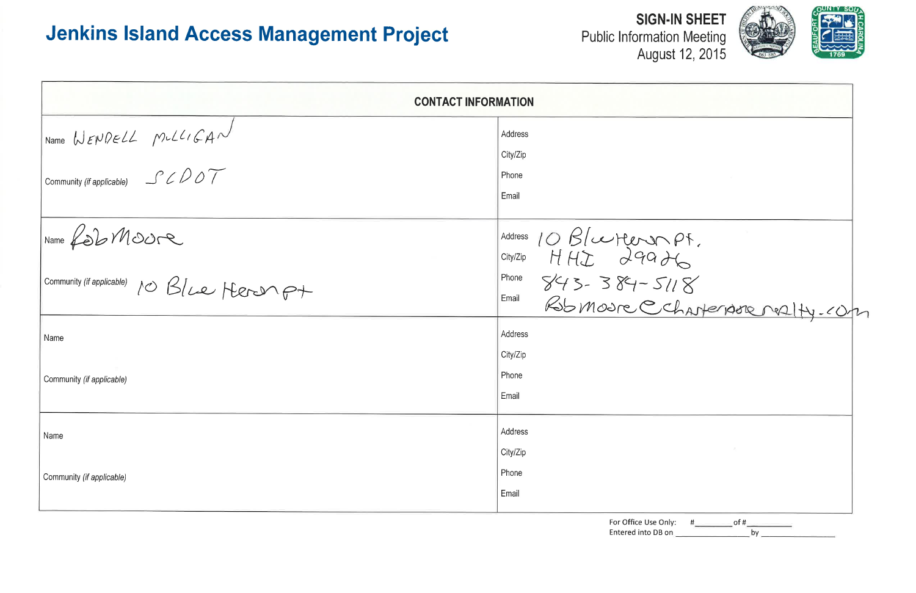| <b>CONTACT INFORMATION</b>                                                |                              |  |  |  |  |  |
|---------------------------------------------------------------------------|------------------------------|--|--|--|--|--|
| Name WENDELL MULLIGAN<br>Community (if applicable) $\exists C \bigcirc D$ | Address<br>City/Zip<br>Phone |  |  |  |  |  |
| Name Rob Moure                                                            | Email                        |  |  |  |  |  |
| Community (if applicable) 10 Blue Heron p+                                | Address 10 B/certeron        |  |  |  |  |  |
| Name                                                                      | Address<br>City/Zip          |  |  |  |  |  |
| Community (if applicable)                                                 | Phone<br>Email               |  |  |  |  |  |
| Name                                                                      | Address<br>City/Zip          |  |  |  |  |  |
| Community (if applicable)                                                 | Phone<br>Email               |  |  |  |  |  |

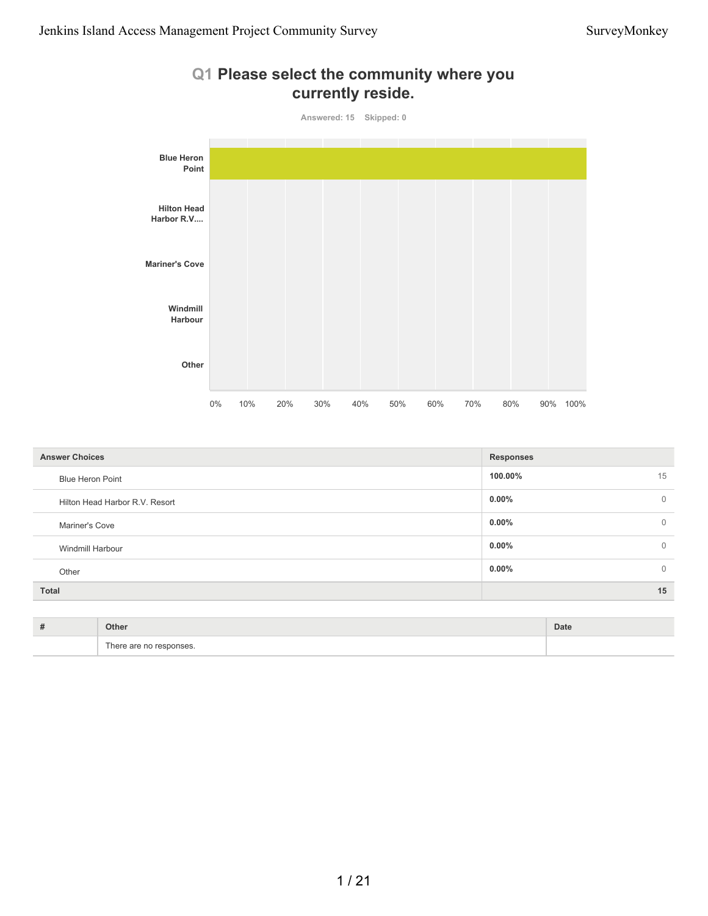

| <b>Answer Choices</b>          | <b>Responses</b> |              |
|--------------------------------|------------------|--------------|
| <b>Blue Heron Point</b>        | 100.00%          | 15           |
| Hilton Head Harbor R.V. Resort | $0.00\%$         | $\mathbf{0}$ |
| Mariner's Cove                 | $0.00\%$         | $\mathbf{0}$ |
| Windmill Harbour               | $0.00\%$         | $\mathbf{0}$ |
| Other                          | $0.00\%$         | $\mathbf{0}$ |
| Total                          |                  | 15           |
|                                |                  |              |

| # | Other                        | Date |
|---|------------------------------|------|
|   | There are no responses.<br>. |      |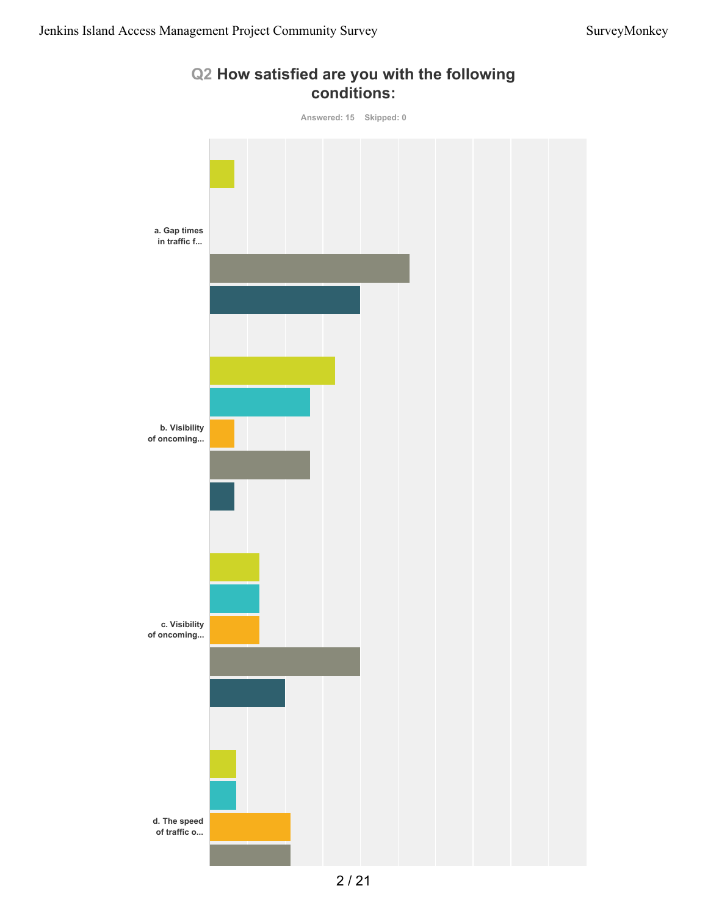

#### **Q2 How satisfied are you with the following conditions:**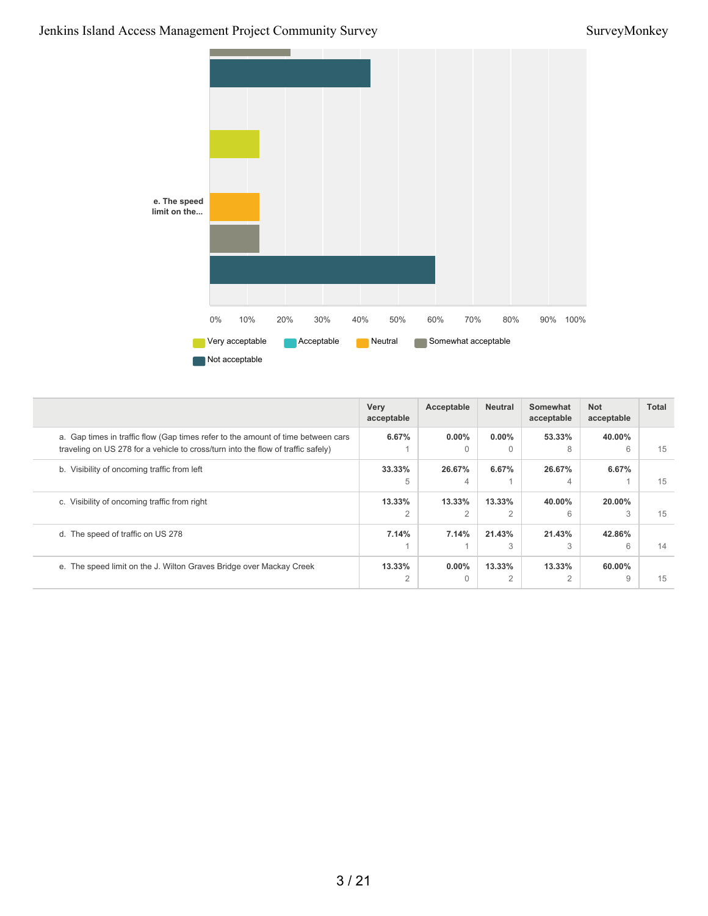#### Jenkins Island Access Management Project Community Survey SurveyMonkey



|                                                                                                                                                                      | Very<br>acceptable | Acceptable               | <b>Neutral</b>           | Somewhat<br>acceptable | <b>Not</b><br>acceptable | Total |
|----------------------------------------------------------------------------------------------------------------------------------------------------------------------|--------------------|--------------------------|--------------------------|------------------------|--------------------------|-------|
| a. Gap times in traffic flow (Gap times refer to the amount of time between cars<br>traveling on US 278 for a vehicle to cross/turn into the flow of traffic safely) | 6.67%              | $0.00\%$<br>$\Omega$     | $0.00\%$<br>$\Omega$     | 53.33%<br>8            | 40.00%<br>6              | 15    |
| b. Visibility of oncoming traffic from left                                                                                                                          | 33.33%<br>5        | 26.67%<br>4              | 6.67%                    | 26.67%<br>4            | 6.67%                    | 15    |
| c. Visibility of oncoming traffic from right                                                                                                                         | 13.33%<br>2        | 13.33%<br>$\overline{2}$ | 13.33%<br>$\overline{2}$ | 40.00%<br>6            | 20.00%<br>3              | 15    |
| d. The speed of traffic on US 278                                                                                                                                    | 7.14%              | 7.14%                    | 21.43%<br>3              | 21.43%<br>3            | 42.86%<br>6              | 14    |
| e. The speed limit on the J. Wilton Graves Bridge over Mackay Creek                                                                                                  | 13.33%<br>2        | $0.00\%$<br>$\Omega$     | 13.33%<br>$\overline{2}$ | 13.33%<br>2            | 60.00%<br>9              | 15    |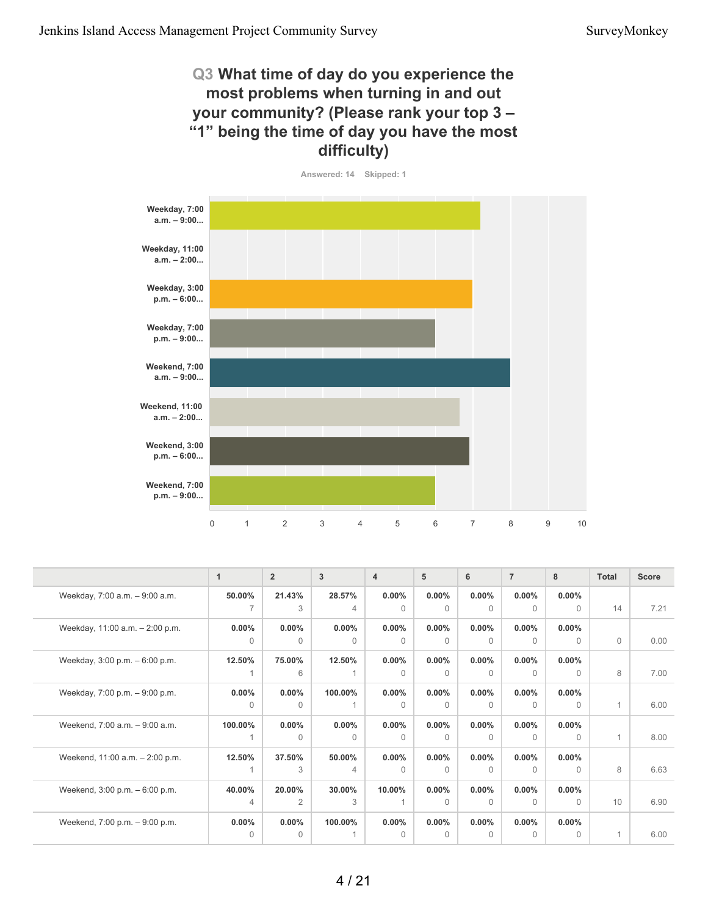#### **Q3 What time of day do you experience the most problems when turning in and out your community? (Please rank your top 3 – "1" being the time of day you have the most difficulty)**



|                                 | $\mathbf{1}$ | $\overline{2}$ | 3        | $\overline{4}$ | 5        | 6        | $\overline{7}$ | 8        | <b>Total</b> | <b>Score</b> |
|---------------------------------|--------------|----------------|----------|----------------|----------|----------|----------------|----------|--------------|--------------|
| Weekday, 7:00 a.m. - 9:00 a.m.  | 50.00%       | 21.43%         | 28.57%   | $0.00\%$       | $0.00\%$ | $0.00\%$ | $0.00\%$       | $0.00\%$ |              |              |
|                                 |              | 3              | 4        | $\Omega$       | $\Omega$ | $\Omega$ | $\Omega$       | $\Omega$ | 14           | 7.21         |
| Weekday, 11:00 a.m. - 2:00 p.m. | $0.00\%$     | $0.00\%$       | $0.00\%$ | $0.00\%$       | $0.00\%$ | $0.00\%$ | $0.00\%$       | $0.00\%$ |              |              |
|                                 | $\Omega$     | $\Omega$       | $\Omega$ | $\Omega$       | $\Omega$ | $\Omega$ | $\Omega$       | $\Omega$ | $\mathbf 0$  | 0.00         |
| Weekday, 3:00 p.m. - 6:00 p.m.  | 12.50%       | 75.00%         | 12.50%   | $0.00\%$       | $0.00\%$ | $0.00\%$ | $0.00\%$       | $0.00\%$ |              |              |
|                                 |              | 6              |          | $\Omega$       | $\Omega$ | $\Omega$ | $\Omega$       | $\Omega$ | 8            | 7.00         |
| Weekday, 7:00 p.m. - 9:00 p.m.  | $0.00\%$     | 0.00%          | 100.00%  | $0.00\%$       | $0.00\%$ | $0.00\%$ | $0.00\%$       | $0.00\%$ |              |              |
|                                 | $\Omega$     | $\Omega$       |          | $\Omega$       | $\Omega$ | $\Omega$ | $\Omega$       | $\Omega$ | 1            | 6.00         |
| Weekend, 7:00 a.m. - 9:00 a.m.  | 100.00%      | $0.00\%$       | $0.00\%$ | $0.00\%$       | $0.00\%$ | $0.00\%$ | $0.00\%$       | $0.00\%$ |              |              |
|                                 |              | $\Omega$       | $\Omega$ | $\Omega$       | $\Omega$ | $\Omega$ | $\Omega$       | $\Omega$ | $\mathbf{1}$ | 8.00         |
| Weekend, 11:00 a.m. - 2:00 p.m. | 12.50%       | 37.50%         | 50.00%   | $0.00\%$       | $0.00\%$ | $0.00\%$ | $0.00\%$       | $0.00\%$ |              |              |
|                                 |              | 3              | 4        | $\Omega$       | $\Omega$ | $\Omega$ | $\Omega$       | $\Omega$ | 8            | 6.63         |
| Weekend, 3:00 p.m. - 6:00 p.m.  | 40.00%       | 20.00%         | 30.00%   | 10.00%         | $0.00\%$ | $0.00\%$ | $0.00\%$       | $0.00\%$ |              |              |
|                                 | 4            | $\overline{2}$ | 3        |                | $\Omega$ | $\Omega$ | $\Omega$       | $\Omega$ | 10           | 6.90         |
| Weekend, 7:00 p.m. - 9:00 p.m.  | $0.00\%$     | $0.00\%$       | 100.00%  | $0.00\%$       | $0.00\%$ | $0.00\%$ | $0.00\%$       | $0.00\%$ |              |              |
|                                 | $\Omega$     | $\Omega$       |          | $\Omega$       | $\Omega$ | $\Omega$ | $\Omega$       | $\Omega$ | 1            | 6.00         |
|                                 |              |                |          |                |          |          |                |          |              |              |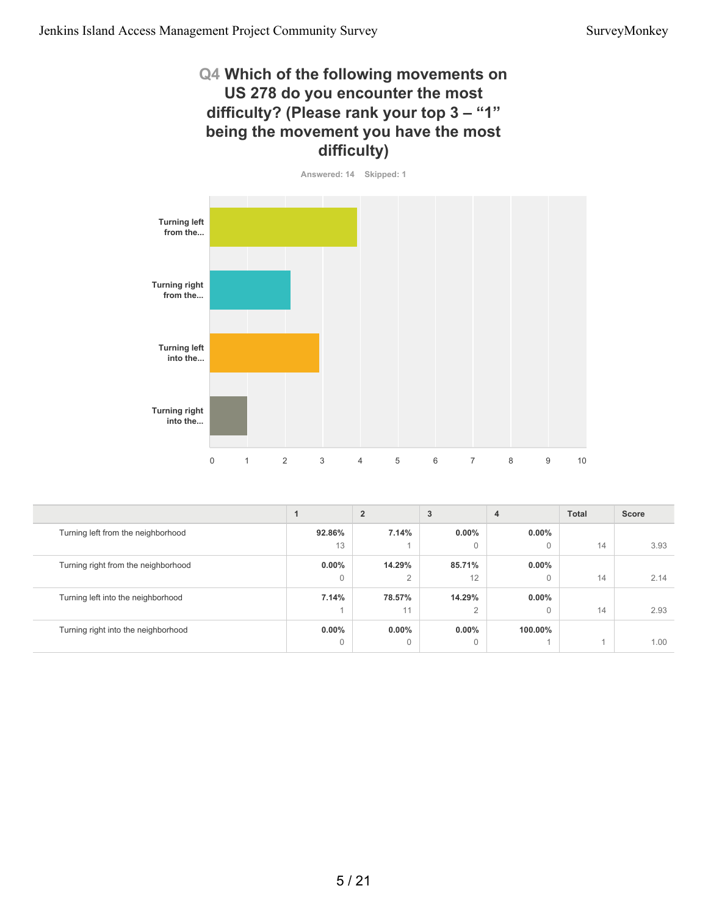#### **Q4 Which of the following movements on US 278 do you encounter the most difficulty? (Please rank your top 3 – "1" being the movement you have the most difficulty)**



|                                     |              | $\overline{2}$ | 3              | 4            | <b>Total</b> | <b>Score</b> |
|-------------------------------------|--------------|----------------|----------------|--------------|--------------|--------------|
| Turning left from the neighborhood  | 92.86%       | 7.14%          | $0.00\%$       | $0.00\%$     |              |              |
|                                     | 13           |                | $\Omega$       | $\Omega$     | 14           | 3.93         |
| Turning right from the neighborhood | $0.00\%$     | 14.29%         | 85.71%         | $0.00\%$     |              |              |
|                                     | $\mathbf{0}$ | $\overline{2}$ | 12             | $\mathbf{0}$ | 14           | 2.14         |
| Turning left into the neighborhood  | 7.14%        | 78.57%         | 14.29%         | $0.00\%$     |              |              |
|                                     |              | 11             | $\overline{2}$ | $\mathbf{0}$ | 14           | 2.93         |
| Turning right into the neighborhood | $0.00\%$     | $0.00\%$       | $0.00\%$       | 100.00%      |              |              |
|                                     | $\mathbf{0}$ | $\overline{0}$ | 0              |              |              | 1.00         |
|                                     |              |                |                |              |              |              |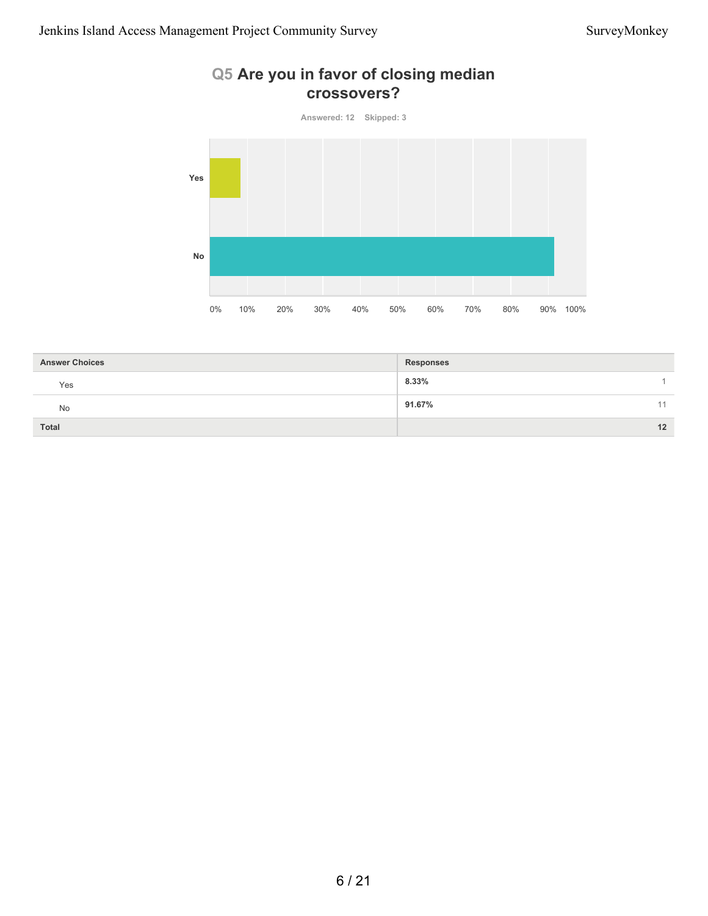### **Q5 Are you in favor of closing median crossovers?**



| <b>Answer Choices</b> | <b>Responses</b> |    |
|-----------------------|------------------|----|
| Yes                   | 8.33%            |    |
| No                    | 91.67%           | 11 |
| <b>Total</b>          |                  | 12 |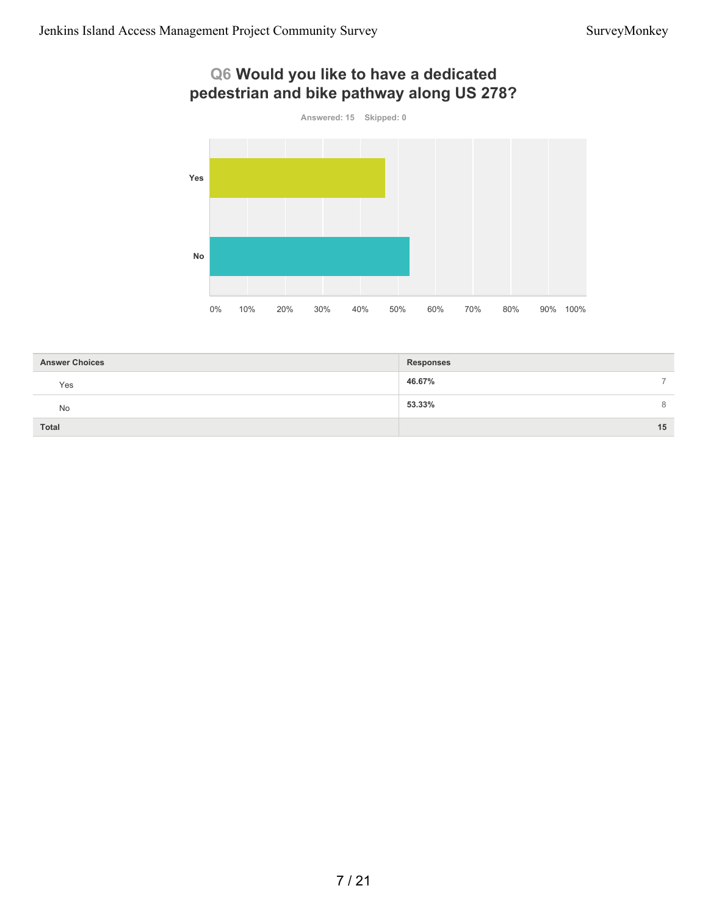## **Q6 Would you like to have a dedicated pedestrian and bike pathway along US 278?**



| <b>Answer Choices</b> | <b>Responses</b> |
|-----------------------|------------------|
| Yes                   | 46.67%<br>-      |
| <b>No</b>             | 53.33%<br>8      |
| Total                 | 15               |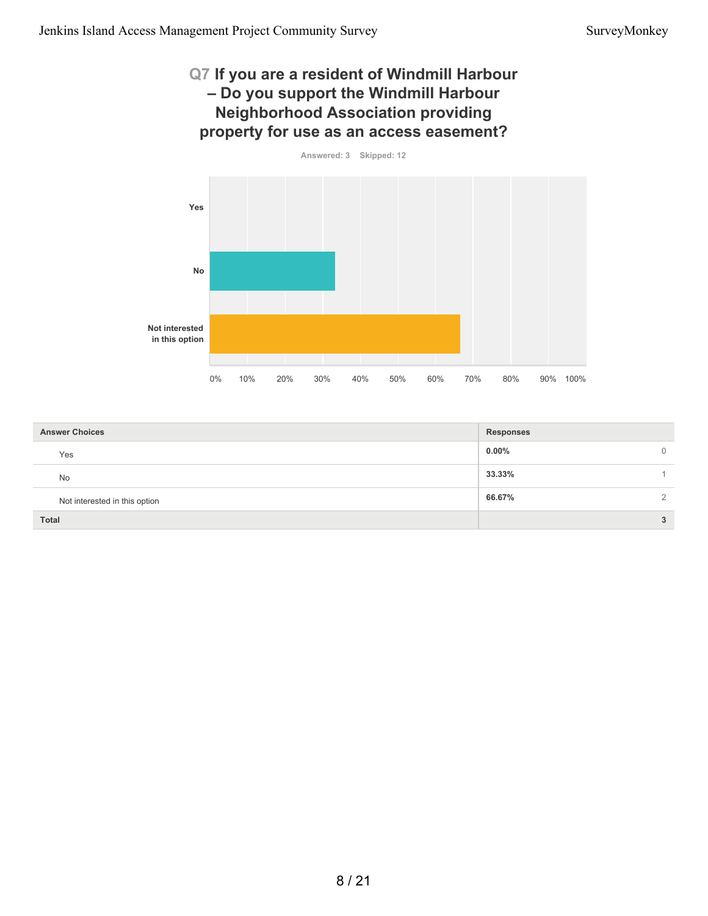#### **Q7 If you are a resident of Windmill Harbour – Do you support the Windmill Harbour Neighborhood Association providing property for use as an access easement?**



| <b>Answer Choices</b>         | <b>Responses</b> |          |
|-------------------------------|------------------|----------|
| Yes                           | $0.00\%$         | $\Omega$ |
| <b>No</b>                     | 33.33%           |          |
| Not interested in this option | 66.67%           | $\Omega$ |
| <b>Total</b>                  |                  | 3        |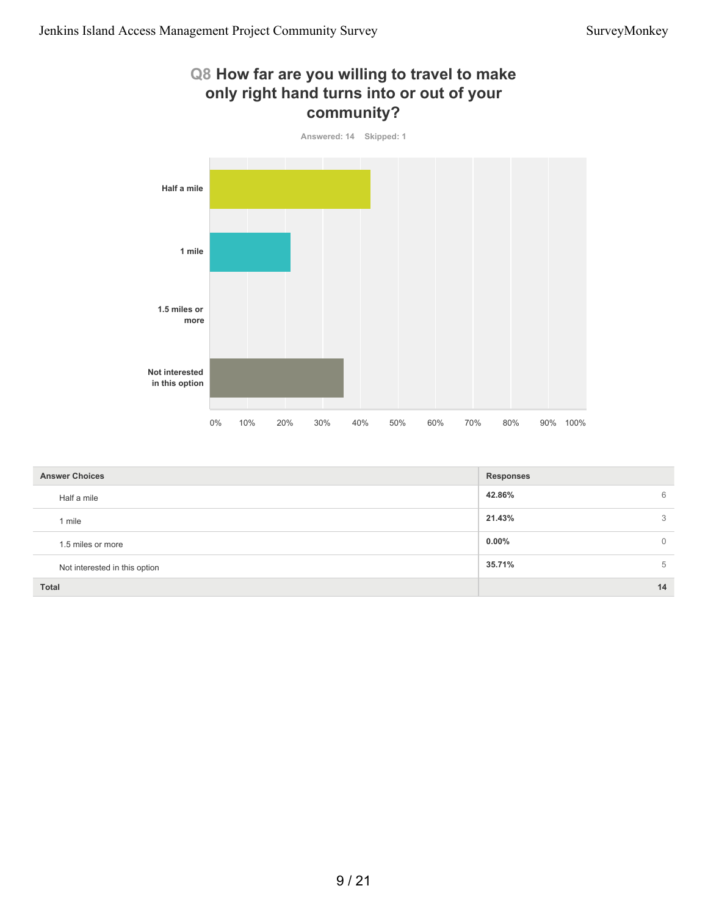#### **Q8 How far are you willing to travel to make only right hand turns into or out of your community?**



| <b>Answer Choices</b>         | <b>Responses</b> |              |
|-------------------------------|------------------|--------------|
| Half a mile                   | 42.86%           | 6            |
| 1 mile                        | 21.43%           | 3            |
| 1.5 miles or more             | $0.00\%$         | $\mathbf{0}$ |
| Not interested in this option | 35.71%           | 5            |
| Total                         |                  | 14           |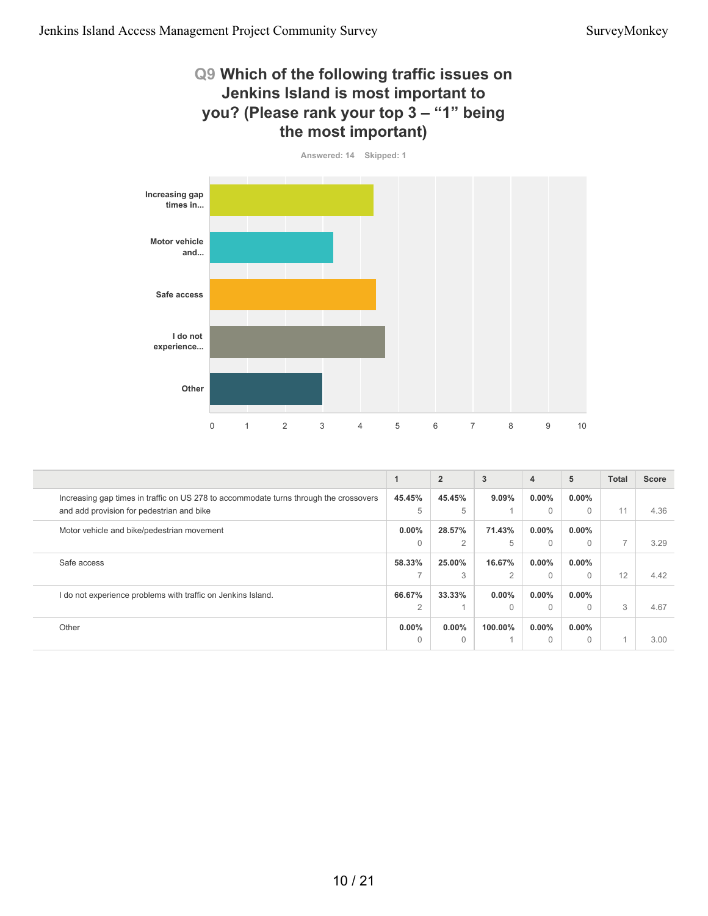#### **Q9 Which of the following traffic issues on Jenkins Island is most important to you? (Please rank your top 3 – "1" being the most important)**



|                                                                                       |                | $\overline{2}$ | 3              | 4        | 5        | <b>Total</b>   | <b>Score</b> |
|---------------------------------------------------------------------------------------|----------------|----------------|----------------|----------|----------|----------------|--------------|
| Increasing gap times in traffic on US 278 to accommodate turns through the crossovers | 45.45%         | 45.45%         | $9.09\%$       | $0.00\%$ | $0.00\%$ |                |              |
| and add provision for pedestrian and bike                                             | 5              | 5              |                | $\Omega$ | $\Omega$ | 11             | 4.36         |
| Motor vehicle and bike/pedestrian movement                                            | $0.00\%$       | 28.57%         | 71.43%         | $0.00\%$ | $0.00\%$ |                |              |
|                                                                                       | $\Omega$       | 2              | 5              | $\Omega$ |          | $\overline{ }$ | 3.29         |
| Safe access                                                                           | 58.33%         | 25.00%         | 16.67%         | $0.00\%$ | $0.00\%$ |                |              |
|                                                                                       |                | 3              | $\overline{2}$ | $\Omega$ | $\Omega$ | 12             | 4.42         |
| I do not experience problems with traffic on Jenkins Island.                          | 66.67%         | 33.33%         | $0.00\%$       | $0.00\%$ | $0.00\%$ |                |              |
|                                                                                       | $\overline{2}$ |                | $\Omega$       | $\Omega$ |          | 3              | 4.67         |
| Other                                                                                 | $0.00\%$       | $0.00\%$       | 100.00%        | $0.00\%$ | $0.00\%$ |                |              |
|                                                                                       | $\Omega$       | $\Omega$       |                | $\Omega$ |          |                | 3.00         |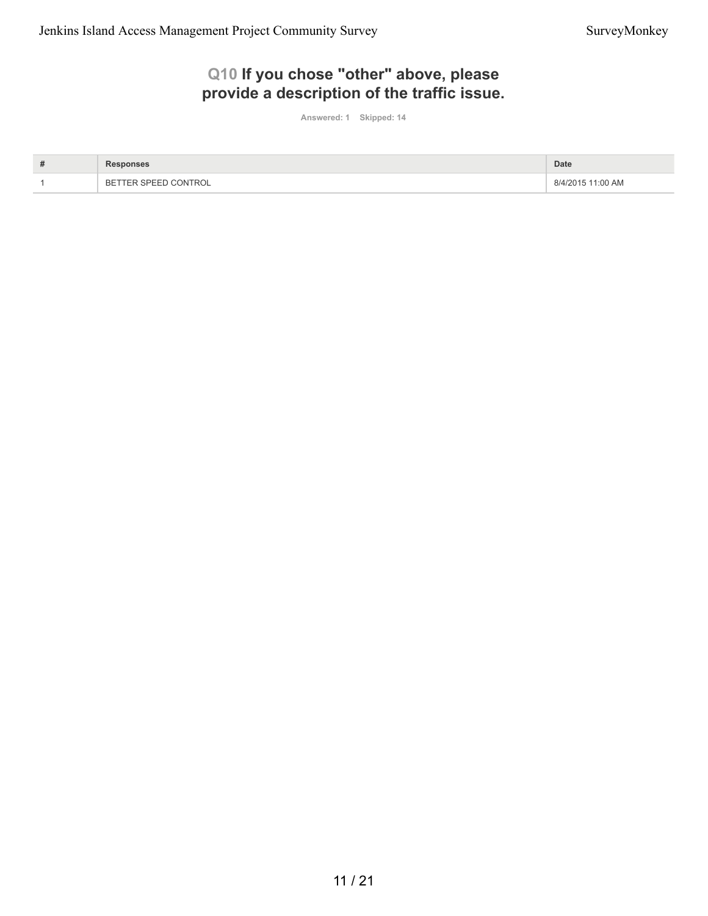### **Q10 If you chose "other" above, please provide a description of the traffic issue.**

**Answered: 1 Skipped: 14**

| # |                                              | <b>Date</b>       |
|---|----------------------------------------------|-------------------|
|   | CONTROL ר'<br><b>FER SPEEI</b><br><b>BET</b> | 8/4/2015 11:00 AM |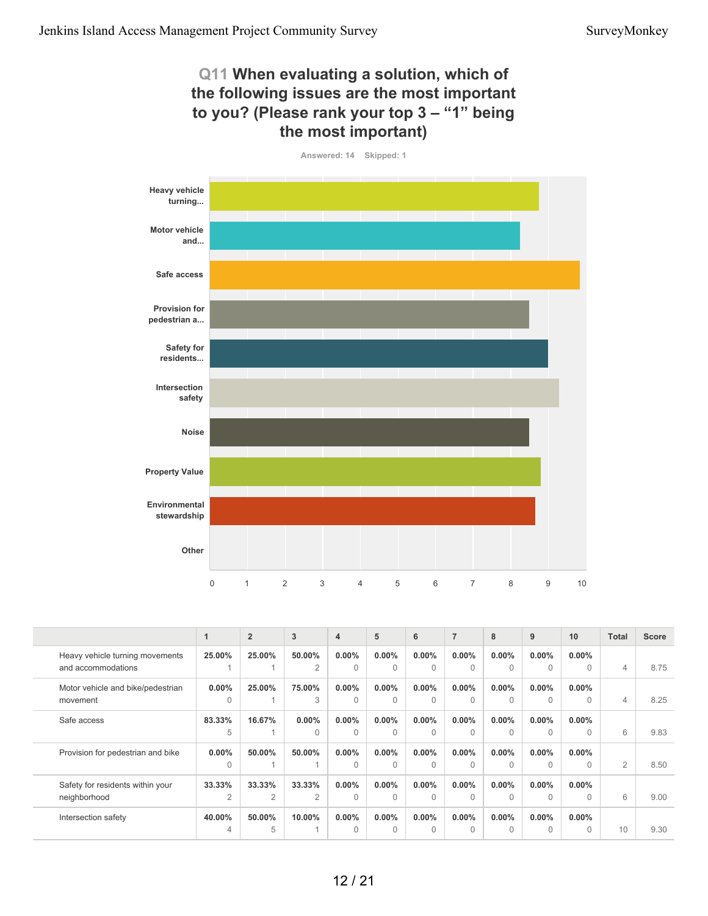#### **Q11 When evaluating a solution, which of the following issues are the most important to you? (Please rank your top 3 – "1" being the most important)**



|                                                       | 1                        | $\overline{2}$ | 3                        | $\overline{4}$       | 5                    | 6                    | $\overline{7}$       | 8                    | 9                    | 10                    | <b>Total</b>   | <b>Score</b> |
|-------------------------------------------------------|--------------------------|----------------|--------------------------|----------------------|----------------------|----------------------|----------------------|----------------------|----------------------|-----------------------|----------------|--------------|
| Heavy vehicle turning movements<br>and accommodations | 25.00%                   | 25.00%         | 50.00%<br>$\overline{2}$ | $0.00\%$<br>$\Omega$ | $0.00\%$<br>$\Omega$ | $0.00\%$<br>$\Omega$ | $0.00\%$<br>$\Omega$ | $0.00\%$<br>$\Omega$ | $0.00\%$<br>$\Omega$ | $0.00\%$<br>$\Omega$  | $\overline{4}$ | 8.75         |
| Motor vehicle and bike/pedestrian<br>movement         | $0.00\%$<br>$\Omega$     | 25.00%         | 75.00%<br>3              | $0.00\%$<br>$\Omega$ | $0.00\%$<br>$\Omega$ | $0.00\%$<br>$\Omega$ | $0.00\%$<br>$\Omega$ | $0.00\%$<br>$\Omega$ | $0.00\%$<br>$\Omega$ | $0.00\%$<br>$\Omega$  | $\overline{4}$ | 8.25         |
| Safe access                                           | 83.33%<br>5              | 16.67%         | $0.00\%$<br>$\Omega$     | $0.00\%$<br>$\Omega$ | $0.00\%$<br>$\Omega$ | $0.00\%$<br>$\cap$   | $0.00\%$<br>$\cap$   | $0.00\%$<br>$\Omega$ | $0.00\%$<br>$\Omega$ | $0.00\%$<br>$\Omega$  | 6              | 9.83         |
| Provision for pedestrian and bike                     | $0.00\%$<br>$\Omega$     | 50.00%         | 50.00%                   | $0.00\%$<br>$\Omega$ | $0.00\%$<br>$\Omega$ | $0.00\%$<br>$\Omega$ | $0.00\%$<br>$\cap$   | $0.00\%$<br>$\Omega$ | $0.00\%$<br>$\Omega$ | $0.00\%$<br>$\Omega$  | 2              | 8.50         |
| Safety for residents within your<br>neighborhood      | 33.33%<br>$\overline{2}$ | 33.33%<br>2    | 33.33%<br>$\overline{2}$ | $0.00\%$<br>$\Omega$ | $0.00\%$<br>$\Omega$ | $0.00\%$<br>$\Omega$ | $0.00\%$<br>$\Omega$ | $0.00\%$<br>$\Omega$ | $0.00\%$<br>$\Omega$ | $0.00\%$<br>$\Omega$  | 6              | 9.00         |
| Intersection safety                                   | 40.00%<br>4              | 50.00%<br>5    | 10.00%                   | $0.00\%$<br>$\Omega$ | $0.00\%$<br>$\Omega$ | $0.00\%$<br>$\Omega$ | $0.00\%$<br>$\Omega$ | $0.00\%$<br>$\Omega$ | $0.00\%$<br>$\Omega$ | $0.00\%$<br>$\bigcap$ | 10             | 9.30         |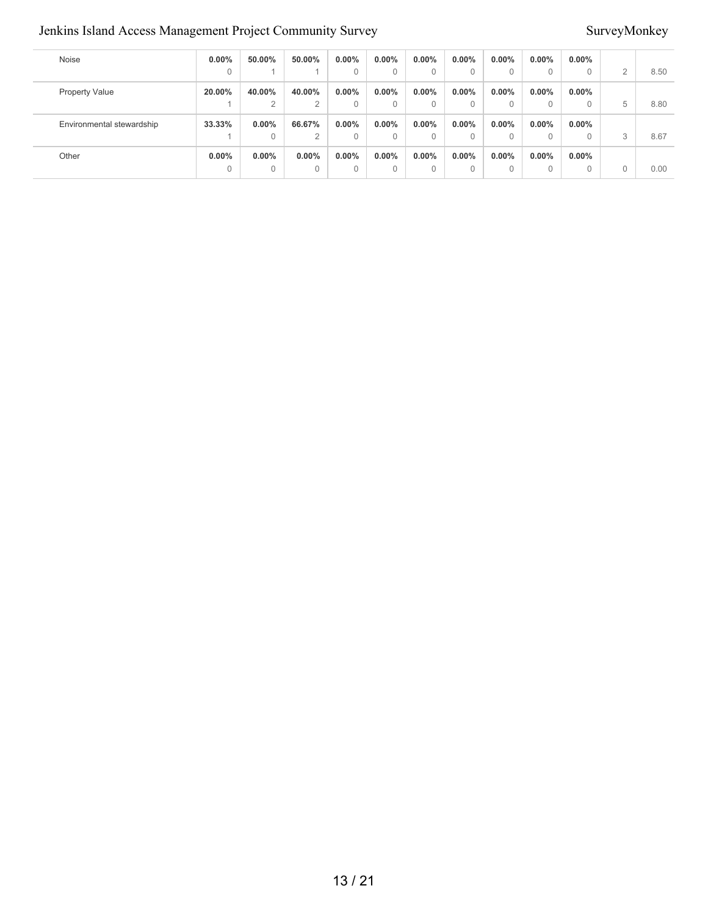#### Jenkins Island Access Management Project Community Survey Survey Survey Survey Survey Survey Survey Survey Survey

| Noise                     | $0.00\%$ | 50.00%         | 50.00%         | $0.00\%$ | $0.00\%$     | $0.00\%$ | $0.00\%$ | $0.00\%$ | $0.00\%$     | $0.00\%$ |          |      |
|---------------------------|----------|----------------|----------------|----------|--------------|----------|----------|----------|--------------|----------|----------|------|
|                           | 0        |                |                | $\Omega$ | $\mathbf{0}$ | 0        | $\Omega$ | 0        | $\mathbf{0}$ | 0        | $\Omega$ | 8.50 |
| <b>Property Value</b>     | 20.00%   | 40.00%         | 40.00%         | $0.00\%$ | $0.00\%$     | $0.00\%$ | $0.00\%$ | $0.00\%$ | $0.00\%$     | $0.00\%$ |          |      |
|                           |          | 2              | $\overline{2}$ | $\Omega$ | $\mathbf{0}$ | 0        | $\Omega$ | $\Omega$ | $\mathbf{0}$ | 0        | 5        | 8.80 |
| Environmental stewardship | 33.33%   | $0.00\%$       | 66.67%         | $0.00\%$ | $0.00\%$     | $0.00\%$ | $0.00\%$ | $0.00\%$ | $0.00\%$     | $0.00\%$ |          |      |
|                           |          | $\Omega$       | $\Omega$       | $\Omega$ | $\Omega$     | $\Omega$ |          | 0        | $\Omega$     |          | 3        | 8.67 |
| Other                     | $0.00\%$ | $0.00\%$       | $0.00\%$       | 0.00%    | $0.00\%$     | $0.00\%$ | $0.00\%$ | $0.00\%$ | $0.00\%$     | $0.00\%$ |          |      |
|                           | 0        | $\overline{0}$ | $\Omega$       | $\Omega$ | $\Omega$     | 0        | $\Omega$ | 0        | $\Omega$     | 0        |          | 0.00 |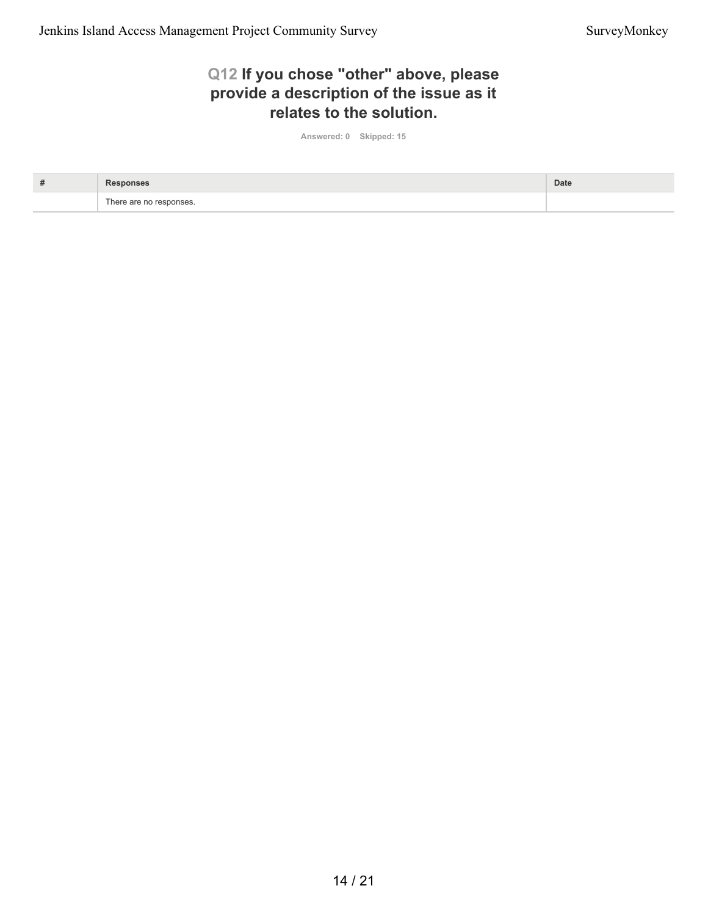#### **Q12 If you chose "other" above, please provide a description of the issue as it relates to the solution.**

**Answered: 0 Skipped: 15**

| # |                         | Date |
|---|-------------------------|------|
|   | There are no responses. |      |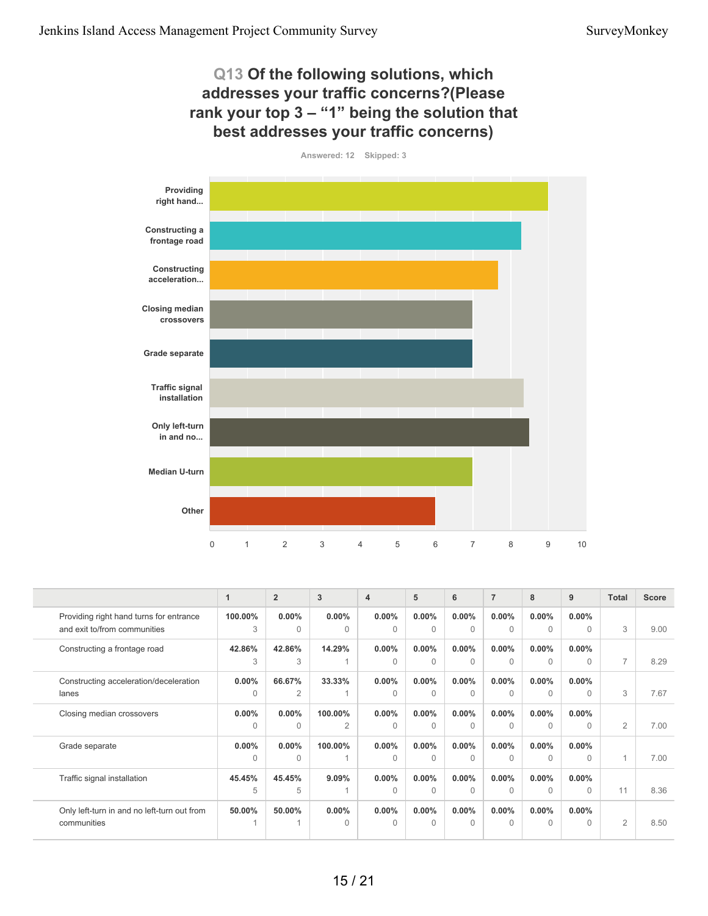#### **Q13 Of the following solutions, which addresses your traffic concerns?(Please rank your top 3 – "1" being the solution that best addresses your traffic concerns)**



|                                                                         | 1                    | $\overline{2}$       | 3                         | $\overline{4}$       | 5                    | 6                    | $\overline{7}$           | 8                    | 9                     | <b>Total</b>   | <b>Score</b> |
|-------------------------------------------------------------------------|----------------------|----------------------|---------------------------|----------------------|----------------------|----------------------|--------------------------|----------------------|-----------------------|----------------|--------------|
| Providing right hand turns for entrance<br>and exit to/from communities | 100.00%<br>3         | $0.00\%$<br>$\Omega$ | $0.00\%$<br>0             | $0.00\%$<br>$\Omega$ | $0.00\%$<br>$\Omega$ | $0.00\%$<br>$\Omega$ | $0.00\%$<br>$\Omega$     | $0.00\%$<br>$\Omega$ | $0.00\%$<br>$\Omega$  | 3              | 9.00         |
| Constructing a frontage road                                            | 42.86%<br>3          | 42.86%<br>3          | 14.29%                    | $0.00\%$<br>$\Omega$ | $0.00\%$<br>$\Omega$ | $0.00\%$<br>$\Omega$ | $0.00\%$<br>$\mathbf{0}$ | $0.00\%$<br>$\Omega$ | $0.00\%$<br>$\Omega$  | $\overline{7}$ | 8.29         |
| Constructing acceleration/deceleration<br>lanes                         | $0.00\%$<br>$\Omega$ | 66.67%<br>2          | 33.33%                    | $0.00\%$<br>$\Omega$ | $0.00\%$<br>$\Omega$ | $0.00\%$<br>$\Omega$ | $0.00\%$<br>$\Omega$     | $0.00\%$<br>$\Omega$ | $0.00\%$<br>$\Omega$  | 3              | 7.67         |
| Closing median crossovers                                               | $0.00\%$<br>$\Omega$ | $0.00\%$<br>$\Omega$ | 100.00%<br>$\overline{2}$ | $0.00\%$<br>$\Omega$ | $0.00\%$<br>$\Omega$ | $0.00\%$<br>$\Omega$ | $0.00\%$<br>$\Omega$     | $0.00\%$<br>$\Omega$ | $0.00\%$<br>$\bigcap$ | $\overline{2}$ | 7.00         |
| Grade separate                                                          | $0.00\%$<br>$\Omega$ | $0.00\%$<br>$\Omega$ | 100.00%                   | $0.00\%$<br>$\Omega$ | $0.00\%$<br>$\Omega$ | $0.00\%$<br>$\cap$   | $0.00\%$<br>$\Omega$     | $0.00\%$<br>$\Omega$ | $0.00\%$<br>$\bigcap$ |                | 7.00         |
| Traffic signal installation                                             | 45.45%<br>5          | 45.45%<br>5          | 9.09%                     | $0.00\%$<br>$\Omega$ | $0.00\%$<br>$\Omega$ | $0.00\%$<br>$\Omega$ | $0.00\%$<br>$\Omega$     | $0.00\%$<br>$\Omega$ | $0.00\%$<br>$\Omega$  | 11             | 8.36         |
| Only left-turn in and no left-turn out from<br>communities              | 50.00%               | 50.00%               | $0.00\%$<br>0             | $0.00\%$<br>$\Omega$ | $0.00\%$<br>$\Omega$ | $0.00\%$<br>$\Omega$ | $0.00\%$<br>$\Omega$     | $0.00\%$<br>$\Omega$ | $0.00\%$<br>$\bigcap$ | 2              | 8.50         |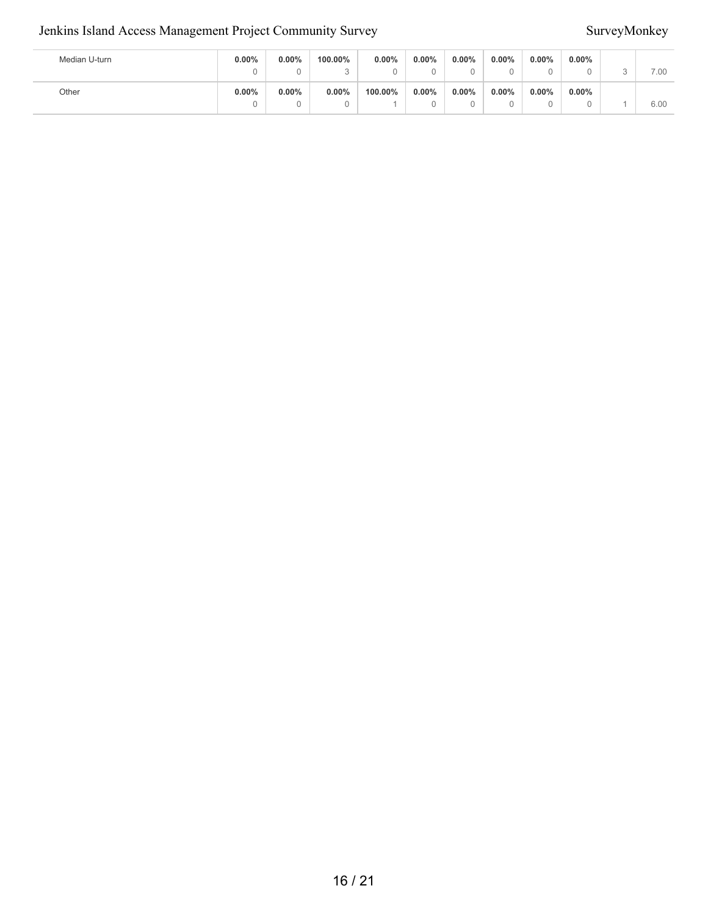#### Jenkins Island Access Management Project Community Survey Survey Survey Survey Survey Survey Survey Survey Survey

| Median U-turn | 0.00% | $0.00\%$ | 100.00%<br>ັ | 0.00%   | $0.00\%$ | $0.00\%$ | $0.00\%$      | $0.00\%$<br>u | $0.00\%$ | 7.00 |
|---------------|-------|----------|--------------|---------|----------|----------|---------------|---------------|----------|------|
| Other         | 0.00% | $0.00\%$ | 0.00%        | 100.00% | $0.00\%$ | $0.00\%$ | $0.00\%$<br>u | $0.00\%$<br>u | $0.00\%$ | 6.00 |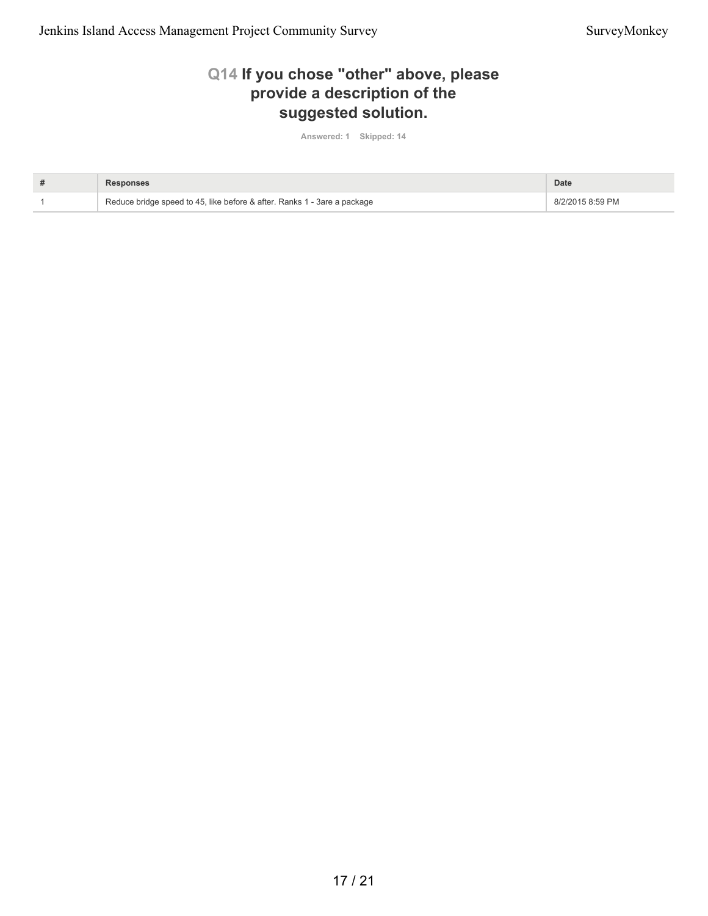#### **Q14 If you chose "other" above, please provide a description of the suggested solution.**

**Answered: 1 Skipped: 14**

| # | <b>Responses</b>                                                         | Date             |
|---|--------------------------------------------------------------------------|------------------|
|   | Reduce bridge speed to 45, like before & after. Ranks 1 - 3are a package | 8/2/2015 8:59 PM |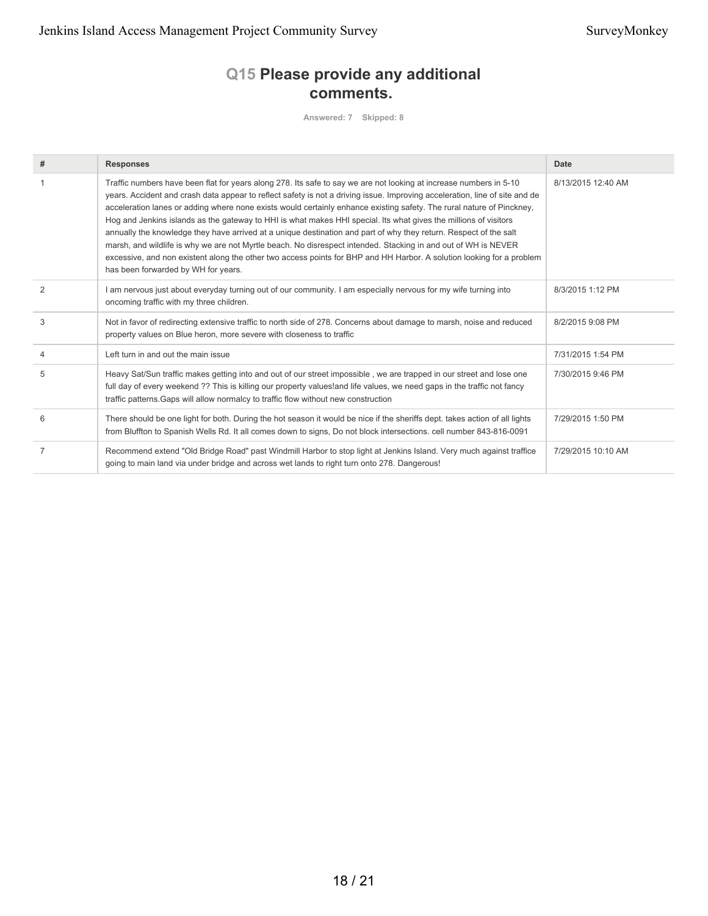### **Q15 Please provide any additional comments.**

**Answered: 7 Skipped: 8**

| # | <b>Responses</b>                                                                                                                                                                                                                                                                                                                                                                                                                                                                                                                                                                                                                                                                                                                                                                                                                                                                                      | Date               |
|---|-------------------------------------------------------------------------------------------------------------------------------------------------------------------------------------------------------------------------------------------------------------------------------------------------------------------------------------------------------------------------------------------------------------------------------------------------------------------------------------------------------------------------------------------------------------------------------------------------------------------------------------------------------------------------------------------------------------------------------------------------------------------------------------------------------------------------------------------------------------------------------------------------------|--------------------|
|   | Traffic numbers have been flat for years along 278. Its safe to say we are not looking at increase numbers in 5-10<br>years. Accident and crash data appear to reflect safety is not a driving issue. Improving acceleration, line of site and de<br>acceleration lanes or adding where none exists would certainly enhance existing safety. The rural nature of Pinckney,<br>Hog and Jenkins islands as the gateway to HHI is what makes HHI special. Its what gives the millions of visitors<br>annually the knowledge they have arrived at a unique destination and part of why they return. Respect of the salt<br>marsh, and wildlife is why we are not Myrtle beach. No disrespect intended. Stacking in and out of WH is NEVER<br>excessive, and non existent along the other two access points for BHP and HH Harbor. A solution looking for a problem<br>has been forwarded by WH for years. | 8/13/2015 12:40 AM |
| 2 | I am nervous just about everyday turning out of our community. I am especially nervous for my wife turning into<br>oncoming traffic with my three children.                                                                                                                                                                                                                                                                                                                                                                                                                                                                                                                                                                                                                                                                                                                                           | 8/3/2015 1:12 PM   |
| 3 | Not in favor of redirecting extensive traffic to north side of 278. Concerns about damage to marsh, noise and reduced<br>property values on Blue heron, more severe with closeness to traffic                                                                                                                                                                                                                                                                                                                                                                                                                                                                                                                                                                                                                                                                                                         | 8/2/2015 9:08 PM   |
| 4 | Left turn in and out the main issue                                                                                                                                                                                                                                                                                                                                                                                                                                                                                                                                                                                                                                                                                                                                                                                                                                                                   | 7/31/2015 1:54 PM  |
| 5 | Heavy Sat/Sun traffic makes getting into and out of our street impossible, we are trapped in our street and lose one<br>full day of every weekend ?? This is killing our property values! and life values, we need gaps in the traffic not fancy<br>traffic patterns. Gaps will allow normalcy to traffic flow without new construction                                                                                                                                                                                                                                                                                                                                                                                                                                                                                                                                                               | 7/30/2015 9:46 PM  |
| 6 | There should be one light for both. During the hot season it would be nice if the sheriffs dept. takes action of all lights<br>from Bluffton to Spanish Wells Rd. It all comes down to signs, Do not block intersections. cell number 843-816-0091                                                                                                                                                                                                                                                                                                                                                                                                                                                                                                                                                                                                                                                    | 7/29/2015 1:50 PM  |
| 7 | Recommend extend "Old Bridge Road" past Windmill Harbor to stop light at Jenkins Island. Very much against traffice<br>going to main land via under bridge and across wet lands to right turn onto 278. Dangerous!                                                                                                                                                                                                                                                                                                                                                                                                                                                                                                                                                                                                                                                                                    | 7/29/2015 10:10 AM |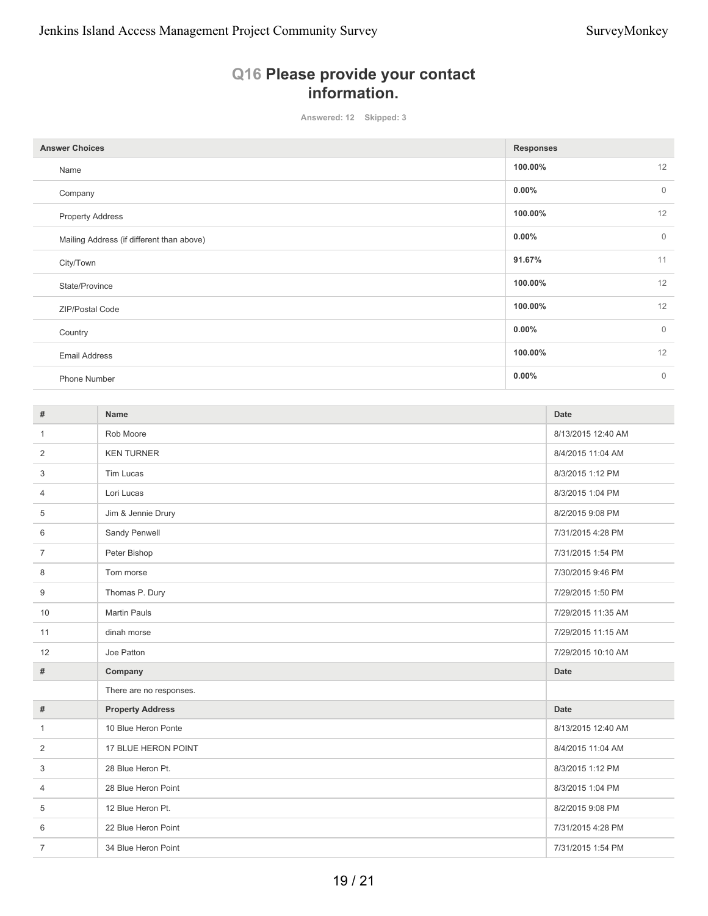### **Q16 Please provide your contact information.**

**Answered: 12 Skipped: 3**

| <b>Answer Choices</b>                     | <b>Responses</b>         |
|-------------------------------------------|--------------------------|
| Name                                      | 12<br>100.00%            |
| Company                                   | $\mathbf 0$<br>$0.00\%$  |
| <b>Property Address</b>                   | 12<br>100.00%            |
| Mailing Address (if different than above) | $\mathbf{0}$<br>$0.00\%$ |
| City/Town                                 | 11<br>91.67%             |
| State/Province                            | 12<br>100.00%            |
| ZIP/Postal Code                           | 12<br>100.00%            |
| Country                                   | $\mathbf 0$<br>$0.00\%$  |
| <b>Email Address</b>                      | 12<br>100.00%            |
| Phone Number                              | $\mathbf{0}$<br>$0.00\%$ |

| #              | Name                    | <b>Date</b>        |
|----------------|-------------------------|--------------------|
| 1              | Rob Moore               | 8/13/2015 12:40 AM |
| 2              | <b>KEN TURNER</b>       | 8/4/2015 11:04 AM  |
| 3              | Tim Lucas               | 8/3/2015 1:12 PM   |
| $\overline{4}$ | Lori Lucas              | 8/3/2015 1:04 PM   |
| 5              | Jim & Jennie Drury      | 8/2/2015 9:08 PM   |
| 6              | Sandy Penwell           | 7/31/2015 4:28 PM  |
| $\overline{7}$ | Peter Bishop            | 7/31/2015 1:54 PM  |
| 8              | Tom morse               | 7/30/2015 9:46 PM  |
| 9              | Thomas P. Dury          | 7/29/2015 1:50 PM  |
| 10             | <b>Martin Pauls</b>     | 7/29/2015 11:35 AM |
| 11             | dinah morse             | 7/29/2015 11:15 AM |
| 12             | Joe Patton              | 7/29/2015 10:10 AM |
| $\#$           | Company                 | <b>Date</b>        |
|                | There are no responses. |                    |
| #              | <b>Property Address</b> | <b>Date</b>        |
| 1              | 10 Blue Heron Ponte     | 8/13/2015 12:40 AM |
| 2              | 17 BLUE HERON POINT     | 8/4/2015 11:04 AM  |
| 3              | 28 Blue Heron Pt.       | 8/3/2015 1:12 PM   |
| 4              | 28 Blue Heron Point     | 8/3/2015 1:04 PM   |
| 5              | 12 Blue Heron Pt.       | 8/2/2015 9:08 PM   |
| 6              | 22 Blue Heron Point     | 7/31/2015 4:28 PM  |
| $\overline{7}$ | 34 Blue Heron Point     | 7/31/2015 1:54 PM  |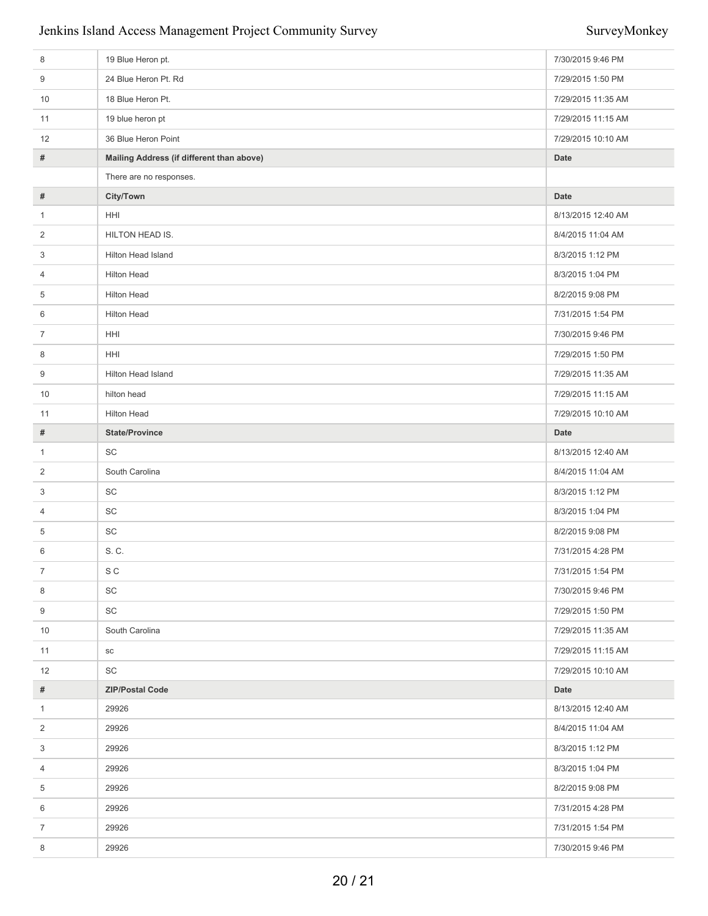#### Jenkins Island Access Management Project Community Survey SurveyMonkey

| 8              | 19 Blue Heron pt.                         | 7/30/2015 9:46 PM  |
|----------------|-------------------------------------------|--------------------|
| 9              | 24 Blue Heron Pt. Rd                      | 7/29/2015 1:50 PM  |
| 10             | 18 Blue Heron Pt.                         | 7/29/2015 11:35 AM |
| 11             | 19 blue heron pt                          | 7/29/2015 11:15 AM |
| 12             | 36 Blue Heron Point                       | 7/29/2015 10:10 AM |
| #              | Mailing Address (if different than above) | <b>Date</b>        |
|                | There are no responses.                   |                    |
| #              | City/Town                                 | <b>Date</b>        |
| $\mathbf{1}$   | HHI                                       | 8/13/2015 12:40 AM |
| 2              | HILTON HEAD IS.                           | 8/4/2015 11:04 AM  |
| 3              | Hilton Head Island                        | 8/3/2015 1:12 PM   |
| 4              | Hilton Head                               | 8/3/2015 1:04 PM   |
| 5              | <b>Hilton Head</b>                        | 8/2/2015 9:08 PM   |
| 6              | <b>Hilton Head</b>                        | 7/31/2015 1:54 PM  |
| 7              | HHI                                       | 7/30/2015 9:46 PM  |
| 8              | HHI                                       | 7/29/2015 1:50 PM  |
| 9              | Hilton Head Island                        | 7/29/2015 11:35 AM |
| 10             | hilton head                               | 7/29/2015 11:15 AM |
| 11             | Hilton Head                               | 7/29/2015 10:10 AM |
| #              | <b>State/Province</b>                     | <b>Date</b>        |
| $\mathbf{1}$   | SC                                        | 8/13/2015 12:40 AM |
| 2              | South Carolina                            | 8/4/2015 11:04 AM  |
| 3              | SC                                        | 8/3/2015 1:12 PM   |
| 4              | SC                                        | 8/3/2015 1:04 PM   |
| 5              | SC                                        | 8/2/2015 9:08 PM   |
| 6              | S. C.                                     | 7/31/2015 4:28 PM  |
| $\mathcal{L}$  | S C                                       | 7/31/2015 1:54 PM  |
| 8              | SC                                        | 7/30/2015 9:46 PM  |
| 9              | SC                                        | 7/29/2015 1:50 PM  |
| 10             | South Carolina                            | 7/29/2015 11:35 AM |
| 11             | ${\tt SC}$                                | 7/29/2015 11:15 AM |
| 12             | SC                                        | 7/29/2015 10:10 AM |
| #              | <b>ZIP/Postal Code</b>                    | Date               |
| $\mathbf{1}$   | 29926                                     | 8/13/2015 12:40 AM |
| 2              | 29926                                     | 8/4/2015 11:04 AM  |
| 3              | 29926                                     | 8/3/2015 1:12 PM   |
| 4              | 29926                                     | 8/3/2015 1:04 PM   |
| 5              | 29926                                     | 8/2/2015 9:08 PM   |
| 6              | 29926                                     | 7/31/2015 4:28 PM  |
| $\overline{7}$ | 29926                                     | 7/31/2015 1:54 PM  |
| 8              | 29926                                     | 7/30/2015 9:46 PM  |